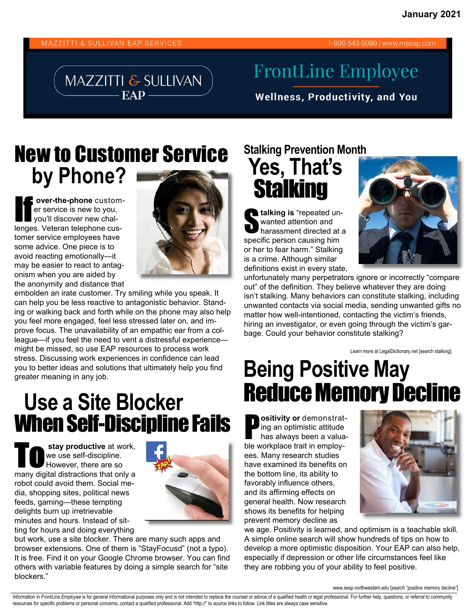#### **MAZZITTI & SULLIVAN EAP SERVICES**

### MAZZITTI & SULLIVAN  $EAP -$

#### 1-800-543-5080 | www.mseap.com

# **FrontLine Employee**

**Wellness, Productivity, and You** 

## New to Customer Service **by Phone?**

**F** over-the-phone custom-<br>
er service is new to you,<br>
you'll discover new chaler service is new to you, lenges. Veteran telephone customer service employees have some advice. One piece is to avoid reacting emotionally—it may be easier to react to antagonism when you are aided by the anonymity and distance that



embolden an irate customer. Try smiling while you speak. It can help you be less reactive to antagonistic behavior. Standing or walking back and forth while on the phone may also help you feel more engaged, feel less stressed later on, and improve focus. The unavailability of an empathic ear from a colleague—if you feel the need to vent a distressful experience might be missed, so use EAP resources to process work stress. Discussing work experiences in confidence can lead you to better ideas and solutions that ultimately help you find greater meaning in any job.

## **Use a Site Blocker**  When Self-Discipline Fails

**Stay productive** at work,<br>
We use self-discipline.<br>
However, there are so we use self-discipline. many digital distractions that only a robot could avoid them. Social media, shopping sites, political news feeds, gaming—these tempting delights burn up irretrievable minutes and hours. Instead of sitting for hours and doing everything



but work, use a site blocker. There are many such apps and browser extensions. One of them is "StayFocusd" (not a typo). It is free. Find it on your Google Chrome browser. You can find others with variable features by doing a simple search for "site blockers."

### **Stalking Prevention Month Yes, That's Stalking**

**alking is** "repeated unwanted attention and harassment directed at a specific person causing him or her to fear harm." Stalking is a crime. Although similar definitions exist in every state,



unfortunately many perpetrators ignore or incorrectly "compare out" of the definition. They believe whatever they are doing isn't stalking. Many behaviors can constitute stalking, including unwanted contacts via social media, sending unwanted gifts no matter how well-intentioned, contacting the victim's friends, hiring an investigator, or even going through the victim's garbage. Could your behavior constitute stalking?

Learn more at LegalDictionary.net [search stalking].

# **Being Positive May**  Reduce Memory Decline

**P** ositivity or demonstrating an optimistic attitude<br>has always been a valuaing an optimistic attitude has always been a valuable workplace trait in employees. Many research studies have examined its benefits on the bottom line, its ability to favorably influence others, and its affirming effects on general health. Now research shows its benefits for helping prevent memory decline as



we age. Positivity is learned, and optimism is a teachable skill. A simple online search will show hundreds of tips on how to develop a more optimistic disposition. Your EAP can also help, especially if depression or other life circumstances feel like they are robbing you of your ability to feel positive.

www.sesp.northwestern.edu [search "positive memory decline"]

Information in FrontLine Employee is for general informational purposes only and is not intended to replace the counsel or advice of a qualified health or legal professional. For further help, questions, or referral to com resources for specific problems or personal concerns, contact a qualified professional. Add "http://" to source links to follow. Link titles are always case sensitive.